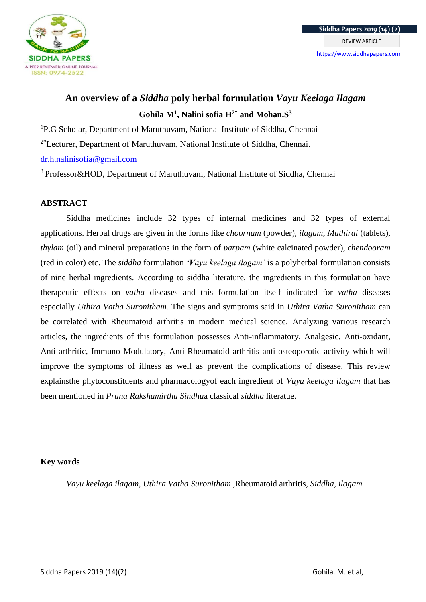

# **An overview of a** *Siddha* **poly herbal formulation** *Vayu Keelaga Ilagam* **Gohila M<sup>1</sup> , Nalini sofia H2\* and Mohan.S<sup>3</sup>**

<sup>1</sup>P.G Scholar, Department of Maruthuvam, National Institute of Siddha, Chennai

<sup>2\*</sup>Lecturer, Department of Maruthuvam, National Institute of Siddha, Chennai.

# [dr.h.nalinisofia@gmail.com](mailto:dr.h.nalinisofia@gmail.com)

<sup>3</sup> Professor&HOD, Department of Maruthuvam, National Institute of Siddha, Chennai

# **ABSTRACT**

Siddha medicines include 32 types of internal medicines and 32 types of external applications. Herbal drugs are given in the forms like *choornam* (powder), *ilagam*, *Mathirai* (tablets), *thylam* (oil) and mineral preparations in the form of *parpam* (white calcinated powder), *chendooram* (red in color) etc. The *siddha* formulation *'Vayu keelaga ilagam'* is a polyherbal formulation consists of nine herbal ingredients. According to siddha literature, the ingredients in this formulation have therapeutic effects on *vatha* diseases and this formulation itself indicated for *vatha* diseases especially *Uthira Vatha Suronitham.* The signs and symptoms said in *Uthira Vatha Suronitham* can be correlated with Rheumatoid arthritis in modern medical science. Analyzing various research articles, the ingredients of this formulation possesses Anti-inflammatory, Analgesic, Anti-oxidant, Anti-arthritic, Immuno Modulatory, Anti-Rheumatoid arthritis anti-osteoporotic activity which will improve the symptoms of illness as well as prevent the complications of disease. This review explainsthe phytoconstituents and pharmacologyof each ingredient of *Vayu keelaga ilagam* that has been mentioned in *Prana Rakshamirtha Sindhu*a classical *siddha* literatue.

## **Key words**

*Vayu keelaga ilagam, Uthira Vatha Suronitham ,*Rheumatoid arthritis, *Siddha, ilagam*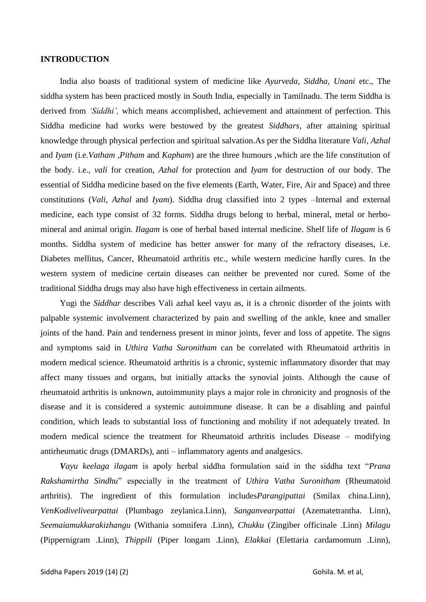## **INTRODUCTION**

India also boasts of traditional system of medicine like *Ayurveda, Siddha, Unani* etc., The siddha system has been practiced mostly in South India, especially in Tamilnadu. The term Siddha is derived from *'Siddhi',* which means accomplished, achievement and attainment of perfection. This Siddha medicine had works were bestowed by the greatest *Siddhars*, after attaining spiritual knowledge through physical perfection and spiritual salvation.As per the Siddha literature *Vali, Azhal* and *Iyam* (i.e.*Vatham ,Pitham* and *Kapham*) are the three humours ,which are the life constitution of the body. i.e., *vali* for creation, *Azhal* for protection and *Iyam* for destruction of our body. The essential of Siddha medicine based on the five elements (Earth, Water, Fire, Air and Space) and three constitutions (*Vali, Azhal* and *Iyam*). Siddha drug classified into 2 types –Internal and external medicine, each type consist of 32 forms. Siddha drugs belong to herbal, mineral, metal or herbomineral and animal origin. *Ilagam* is one of herbal based internal medicine. Shelf life of *Ilagam* is 6 months. Siddha system of medicine has better answer for many of the refractory diseases, i.e. Diabetes mellitus, Cancer, Rheumatoid arthritis etc., while western medicine hardly cures. In the western system of medicine certain diseases can neither be prevented nor cured. Some of the traditional Siddha drugs may also have high effectiveness in certain ailments.

Yugi the *Siddhar* describes Vali azhal keel vayu as, it is a chronic disorder of the joints with palpable systemic involvement characterized by pain and swelling of the ankle, knee and smaller joints of the hand. Pain and tenderness present in minor joints, fever and loss of appetite. The signs and symptoms said in *Uthira Vatha Suronitham* can be correlated with Rheumatoid arthritis in modern medical science. Rheumatoid arthritis is a chronic, systemic inflammatory disorder that may affect many tissues and organs, but initially attacks the synovial joints. Although the cause of rheumatoid arthritis is unknown, autoimmunity plays a major role in chronicity and prognosis of the disease and it is considered a systemic autoimmune disease. It can be a disabling and painful condition, which leads to substantial loss of functioning and mobility if not adequately treated. In modern medical science the treatment for Rheumatoid arthritis includes Disease – modifying antirheumatic drugs (DMARDs), anti – inflammatory agents and analgesics.

*Vayu keelaga ilagam* is apoly herbal siddha formulation said in the siddha text "*Prana Rakshamirtha Sindhu*" especially in the treatment of *Uthira Vatha Suronitham* (Rheumatoid arthritis). The ingredient of this formulation includes*Parangipattai* (Smilax china.Linn), *VenKodivelivearpattai* (Plumbago zeylanica.Linn), *Sanganvearpattai* (Azematetrantha. Linn), *Seemaiamukkarakizhangu* (Withania somnifera .Linn), *Chukku* (Zingiber officinale .Linn) *Milagu* (Pippernigram .Linn), *Thippili* (Piper longam .Linn), *Elakkai* (Elettaria cardamomum .Linn),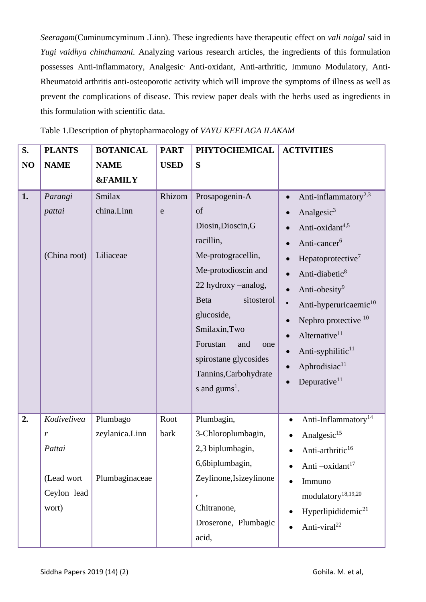*Seeragam*(Cuminumcyminum .Linn). These ingredients have therapeutic effect on *vali noigal* said in *Yugi vaidhya chinthamani.* Analyzing various research articles, the ingredients of this formulation possesses Anti-inflammatory, Analgesic<sup>,</sup> Anti-oxidant, Anti-arthritic, Immuno Modulatory, Anti-Rheumatoid arthritis anti-osteoporotic activity which will improve the symptoms of illness as well as prevent the complications of disease. This review paper deals with the herbs used as ingredients in this formulation with scientific data.

|  |  |  | Table 1. Description of phytopharmacology of VAYU KEELAGA ILAKAM |  |  |
|--|--|--|------------------------------------------------------------------|--|--|
|--|--|--|------------------------------------------------------------------|--|--|

| S. | <b>PLANTS</b>                                                    | <b>BOTANICAL</b>                             | <b>PART</b>  | <b>PHYTOCHEMICAL</b>                                                                                                                                                                                                                                                                           | <b>ACTIVITIES</b>                                                                                                                                                                                                                                                                                                                                                                         |
|----|------------------------------------------------------------------|----------------------------------------------|--------------|------------------------------------------------------------------------------------------------------------------------------------------------------------------------------------------------------------------------------------------------------------------------------------------------|-------------------------------------------------------------------------------------------------------------------------------------------------------------------------------------------------------------------------------------------------------------------------------------------------------------------------------------------------------------------------------------------|
| NO | <b>NAME</b>                                                      | <b>NAME</b>                                  | <b>USED</b>  | S                                                                                                                                                                                                                                                                                              |                                                                                                                                                                                                                                                                                                                                                                                           |
|    |                                                                  | <b>&amp;FAMILY</b>                           |              |                                                                                                                                                                                                                                                                                                |                                                                                                                                                                                                                                                                                                                                                                                           |
| 1. | Parangi<br>pattai<br>(China root)                                | Smilax<br>china.Linn<br>Liliaceae            | Rhizom<br>e  | Prosapogenin-A<br>of<br>Diosin, Dioscin, G<br>racillin,<br>Me-protogracellin,<br>Me-protodioscin and<br>22 hydroxy -analog,<br><b>Beta</b><br>sitosterol<br>glucoside,<br>Smilaxin, Two<br>Forustan<br>and<br>one<br>spirostane glycosides<br>Tannins, Carbohydrate<br>s and $\text{gums}^1$ . | Anti-inflammatory <sup>2,3</sup><br>Analgesic <sup>3</sup><br>Anti-oxidant4,5<br>Anti-cancer <sup>6</sup><br>Hepatoprotective <sup>7</sup><br>Anti-diabetic <sup>8</sup><br>Anti-obesity <sup>9</sup><br>Anti-hyperuricaemic <sup>10</sup><br>Nephro protective 10<br>Alternative <sup>11</sup><br>Anti-syphilitic <sup>11</sup><br>Aphrodisiac <sup>11</sup><br>Depurative <sup>11</sup> |
| 2. | Kodivelivea<br>r<br>Pattai<br>(Lead wort<br>Ceylon lead<br>wort) | Plumbago<br>zeylanica.Linn<br>Plumbaginaceae | Root<br>bark | Plumbagin,<br>3-Chloroplumbagin,<br>2,3 biplumbagin,<br>6,6biplumbagin,<br>Zeylinone, Isizeylinone<br>Chitranone,<br>Droserone, Plumbagic<br>acid,                                                                                                                                             | Anti-Inflammatory <sup>14</sup><br>$\bullet$<br>Analgesic <sup>15</sup><br>Anti-arthritic <sup>16</sup><br>Anti $-\alpha x \mathrm{i} \mathrm{d} \mathrm{a} \mathrm{n} \mathrm{t}^{17}$<br>Immuno<br>$\bullet$<br>modulatory <sup>18,19,20</sup><br>Hyperlipididemic <sup>21</sup><br>Anti-viral <sup>22</sup>                                                                            |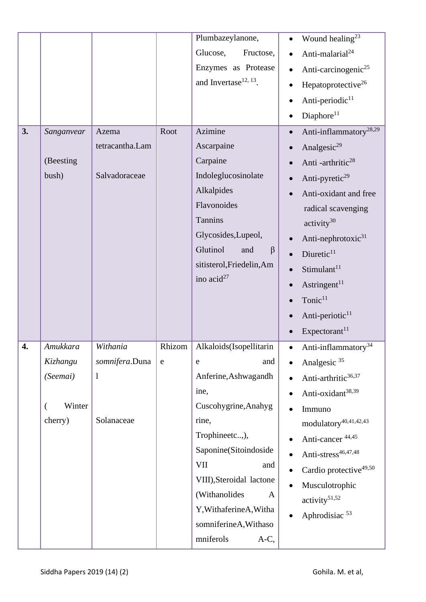|    |                                                       |                                                          |                     | Plumbazeylanone,<br>Glucose,<br>Fructose,<br>Enzymes as Protease<br>and Invertase <sup>12, 13</sup> .                                                                                                                                                                                      | Wound healing <sup>23</sup><br>Anti-malarial <sup>24</sup><br>Anti-carcinogenic <sup>25</sup><br>Hepatoprotective <sup>26</sup><br>Anti-periodic <sup>11</sup><br>Diaphore <sup>11</sup>                                                                                                                                                                                                                   |
|----|-------------------------------------------------------|----------------------------------------------------------|---------------------|--------------------------------------------------------------------------------------------------------------------------------------------------------------------------------------------------------------------------------------------------------------------------------------------|------------------------------------------------------------------------------------------------------------------------------------------------------------------------------------------------------------------------------------------------------------------------------------------------------------------------------------------------------------------------------------------------------------|
| 3. | Sanganvear<br>(Beesting<br>bush)                      | Azema<br>tetracantha.Lam<br>Salvadoraceae                | Root                | Azimine<br>Ascarpaine<br>Carpaine<br>Indoleglucosinolate<br>Alkalpides<br>Flavonoides<br><b>Tannins</b><br>Glycosides, Lupeol,<br>Glutinol<br>$\beta$<br>and<br>sitisterol, Friedelin, Am<br>ino $acid^{27}$                                                                               | Anti-inflammatory <sup>28,29</sup><br>Analgesic <sup>29</sup><br>Anti-arthritic <sup>28</sup><br>Anti-pyretic <sup>29</sup><br>Anti-oxidant and free<br>radical scavenging<br>$\text{activity}^{30}$<br>Anti-nephrotoxic <sup>31</sup><br>Diuretic <sup>11</sup><br>Stimulant <sup>11</sup><br>Astringent <sup>11</sup><br>Tonic <sup>11</sup><br>Anti-periotic <sup>11</sup><br>Expectorant <sup>11</sup> |
| 4. | Amukkara<br>Kizhangu<br>(Seemai)<br>Winter<br>cherry) | Withania<br>somnifera.Duna<br>$\mathbf{l}$<br>Solanaceae | Rhizom<br>${\rm e}$ | Alkaloids(Isopellitarin<br>and<br>e<br>Anferine, Ashwagandh<br>ine,<br>Cuscohygrine, Anahyg<br>rine,<br>Trophineetc,),<br>Saponine(Sitoindoside<br>VII<br>and<br>VIII), Steroidal lactone<br>(Withanolides<br>A<br>Y, WithaferineA, Witha<br>somniferineA, Withaso<br>mniferols<br>$A-C$ , | Anti-inflammatory <sup>34</sup><br>$\bullet$<br>Analgesic <sup>35</sup><br>Anti-arthritic <sup>36,37</sup><br>Anti-oxidant <sup>38,39</sup><br>Immuno<br>modulatory <sup>40,41,42,43</sup><br>Anti-cancer 44,45<br>Anti-stress <sup>46,47,48</sup><br>Cardio protective <sup>49,50</sup><br>Musculotrophic<br>activity <sup>51,52</sup><br>Aphrodisiac <sup>53</sup>                                       |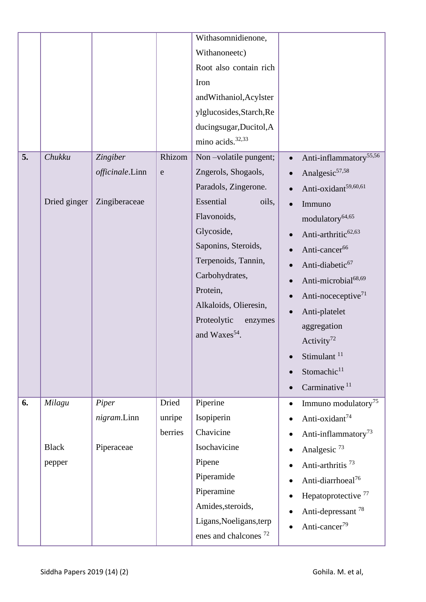|    |              |                 |             | Withasomnidienone,               |                                                 |
|----|--------------|-----------------|-------------|----------------------------------|-------------------------------------------------|
|    |              |                 |             | Withanoneetc)                    |                                                 |
|    |              |                 |             | Root also contain rich           |                                                 |
|    |              |                 |             | Iron                             |                                                 |
|    |              |                 |             | andWithaniol, Acylster           |                                                 |
|    |              |                 |             | ylglucosides, Starch, Re         |                                                 |
|    |              |                 |             | ducingsugar, Ducitol, A          |                                                 |
|    |              |                 |             | mino acids. <sup>32,33</sup>     |                                                 |
| 5. | Chukku       | Zingiber        | Rhizom      | Non-volatile pungent;            | Anti-inflammatory <sup>55,56</sup><br>$\bullet$ |
|    |              | officinale.Linn | $\mathbf e$ | Zngerols, Shogaols,              | Analgesic <sup>57,58</sup>                      |
|    |              |                 |             | Paradols, Zingerone.             | Anti-oxidant <sup>59,60,61</sup>                |
|    | Dried ginger | Zingiberaceae   |             | Essential<br>oils,               | Immuno<br>$\bullet$                             |
|    |              |                 |             | Flavonoids,                      | modulatory <sup>64,65</sup>                     |
|    |              |                 |             | Glycoside,                       | Anti-arthritic <sup>62,63</sup>                 |
|    |              |                 |             | Saponins, Steroids,              | Anti-cancer <sup>66</sup>                       |
|    |              |                 |             | Terpenoids, Tannin,              | Anti-diabetic <sup>67</sup>                     |
|    |              |                 |             | Carbohydrates,                   | Anti-microbial <sup>68,69</sup>                 |
|    |              |                 |             | Protein,                         | Anti-noceceptive <sup>71</sup>                  |
|    |              |                 |             | Alkaloids, Olieresin,            | Anti-platelet                                   |
|    |              |                 |             | Proteolytic<br>enzymes           | aggregation                                     |
|    |              |                 |             | and Waxes <sup>54</sup> .        | Activity <sup>72</sup>                          |
|    |              |                 |             |                                  | Stimulant <sup>11</sup>                         |
|    |              |                 |             |                                  | Stomachic <sup>11</sup>                         |
|    |              |                 |             |                                  | Carminative <sup>11</sup>                       |
| 6. | Milagu       | Piper           | Dried       | Piperine                         | Immuno modulatory <sup>75</sup><br>$\bullet$    |
|    |              | nigram.Linn     | unripe      | Isopiperin                       | Anti-oxidant <sup>74</sup>                      |
|    |              |                 | berries     | Chavicine                        | Anti-inflammatory <sup>73</sup>                 |
|    | <b>Black</b> | Piperaceae      |             | Isochavicine                     | Analgesic <sup>73</sup><br>٠                    |
|    | pepper       |                 |             | Pipene                           | Anti-arthritis <sup>73</sup>                    |
|    |              |                 |             | Piperamide                       | Anti-diarrhoeal <sup>76</sup>                   |
|    |              |                 |             | Piperamine                       | Hepatoprotective <sup>77</sup>                  |
|    |              |                 |             | Amides, steroids,                | Anti-depressant <sup>78</sup>                   |
|    |              |                 |             | Ligans, Noeligans, terp          | Anti-cancer <sup>79</sup>                       |
|    |              |                 |             | enes and chalcones <sup>72</sup> |                                                 |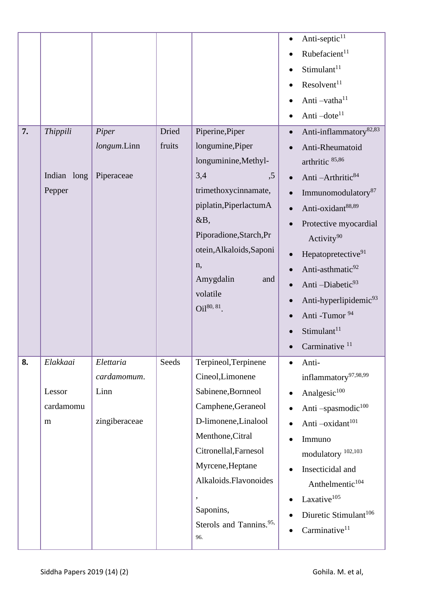| 7. | Thippili<br>Indian long<br>Pepper    | Piper<br>longum.Linn<br>Piperaceae                | Dried<br>fruits | Piperine, Piper<br>longumine, Piper<br>longuminine, Methyl-<br>3,4<br>, 5<br>trimethoxycinnamate,<br>piplatin, Piperlactum A<br>&B,<br>Piporadione, Starch, Pr<br>otein, Alkaloids, Saponi<br>n,<br>Amygdalin<br>and<br>volatile<br>Oil <sup>80, 81</sup> .       | Anti-septic <sup>11</sup><br>Rubefacient <sup>11</sup><br>Stimulant <sup>11</sup><br>Resolvent <sup>11</sup><br>Anti-vatha <sup>11</sup><br>Anti-dote <sup>11</sup><br>Anti-inflammatory <sup>82,83</sup><br>Anti-Rheumatoid<br>arthritic 85,86<br>Anti-Arthritic <sup>84</sup><br>Immunomodulatory <sup>87</sup><br>Anti-oxidant88,89<br>Protective myocardial<br>Activity <sup>90</sup><br>Hepatopretective <sup>91</sup><br>Anti-asthmatic <sup>92</sup><br>Anti-Diabetic <sup>93</sup><br>Anti-hyperlipidemic <sup>93</sup><br>Anti -Tumor <sup>94</sup><br>Stimulant <sup>11</sup><br>Carminative <sup>11</sup> |
|----|--------------------------------------|---------------------------------------------------|-----------------|-------------------------------------------------------------------------------------------------------------------------------------------------------------------------------------------------------------------------------------------------------------------|----------------------------------------------------------------------------------------------------------------------------------------------------------------------------------------------------------------------------------------------------------------------------------------------------------------------------------------------------------------------------------------------------------------------------------------------------------------------------------------------------------------------------------------------------------------------------------------------------------------------|
| 8. | Elakkaai<br>Lessor<br>cardamomu<br>m | Elettaria<br>cardamomum.<br>Linn<br>zingiberaceae | Seeds           | Terpineol, Terpinene<br>Cineol, Limonene<br>Sabinene, Bornneol<br>Camphene, Geraneol<br>D-limonene, Linalool<br>Menthone, Citral<br>Citronellal, Farnesol<br>Myrcene, Heptane<br>Alkaloids.Flavonoides<br>Saponins,<br>Sterols and Tannins. <sup>95,</sup><br>96. | Anti-<br>inflammatory <sup>97,98,99</sup><br>Analgesic <sup>100</sup><br>Anti-spasmodic <sup>100</sup><br>Anti-oxidant <sup>101</sup><br>Immuno<br>modulatory <sup>102,103</sup><br>Insecticidal and<br>Anthelmentic <sup>104</sup><br>$\rm Laxative^{105}$<br>Diuretic Stimulant <sup>106</sup><br>Carminative <sup>11</sup>                                                                                                                                                                                                                                                                                        |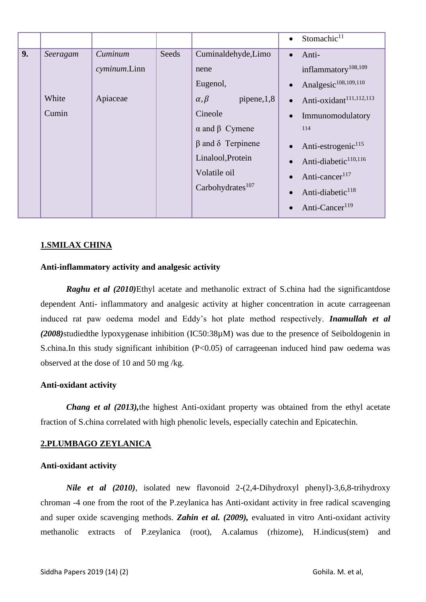|    |          |              |       |                                 |           | $\bullet$ Stomachic <sup>11</sup>   |
|----|----------|--------------|-------|---------------------------------|-----------|-------------------------------------|
| 9. | Seeragam | Cuminum      | Seeds | Cuminaldehyde, Limo             | $\bullet$ | Anti-                               |
|    |          | cyminum.Linn |       | nene                            |           | inflammatory <sup>108,109</sup>     |
|    |          |              |       | Eugenol,                        | $\bullet$ | Analgesic <sup>108,109,110</sup>    |
|    | White    | Apiaceae     |       | $\alpha, \beta$<br>pipene, 1, 8 | $\bullet$ | Anti-oxidant <sup>111,112,113</sup> |
|    | Cumin    |              |       | Cineole                         | $\bullet$ | Immunomodulatory                    |
|    |          |              |       | $\alpha$ and $\beta$ Cymene     |           | 114                                 |
|    |          |              |       | $\beta$ and $\delta$ Terpinene  | $\bullet$ | Anti-estrogenic <sup>115</sup>      |
|    |          |              |       | Linalool, Protein               | $\bullet$ | Anti-diabetic <sup>110,116</sup>    |
|    |          |              |       | Volatile oil                    | $\bullet$ | Anti-cancer <sup>117</sup>          |
|    |          |              |       | Carbohydrates <sup>107</sup>    | $\bullet$ | Anti-diabetic <sup>118</sup>        |
|    |          |              |       |                                 | $\bullet$ | Anti-Cancer <sup>119</sup>          |

# **1.SMILAX CHINA**

### **Anti-inflammatory activity and analgesic activity**

**Raghu et al** (2010)Ethyl acetate and methanolic extract of S.china had the significantdose dependent Anti- inflammatory and analgesic activity at higher concentration in acute carrageenan induced rat paw oedema model and Eddy's hot plate method respectively. *Inamullah et al (2008)*studiedthe lypoxygenase inhibition (IC50:38µM) was due to the presence of Seiboldogenin in S.china.In this study significant inhibition (P<0.05) of carrageenan induced hind paw oedema was observed at the dose of 10 and 50 mg /kg.

#### **Anti-oxidant activity**

*Chang et al (2013),*the highest Anti-oxidant property was obtained from the ethyl acetate fraction of S.china correlated with high phenolic levels, especially catechin and Epicatechin.

#### **2.PLUMBAGO ZEYLANICA**

#### **Anti-oxidant activity**

*Nile et al (2010)*, isolated new flavonoid 2-(2,4-Dihydroxyl phenyl)-3,6,8-trihydroxy chroman -4 one from the root of the P.zeylanica has Anti-oxidant activity in free radical scavenging and super oxide scavenging methods. *Zahin et al. (2009),* evaluated in vitro Anti-oxidant activity methanolic extracts of P.zeylanica (root), A.calamus (rhizome), H.indicus(stem) and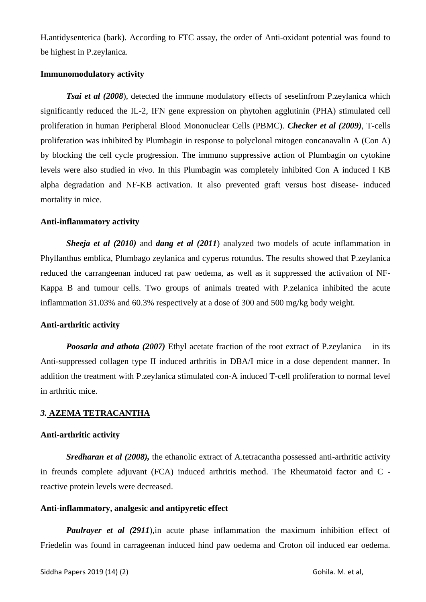H.antidysenterica (bark). According to FTC assay, the order of Anti-oxidant potential was found to be highest in P.zeylanica.

#### **Immunomodulatory activity**

*Tsai et al (2008*), detected the immune modulatory effects of seselinfrom P.zeylanica which significantly reduced the IL-2, IFN gene expression on phytohen agglutinin (PHA) stimulated cell proliferation in human Peripheral Blood Mononuclear Cells (PBMC). *Checker et al (2009)*, T-cells proliferation was inhibited by Plumbagin in response to polyclonal mitogen concanavalin A (Con A) by blocking the cell cycle progression. The immuno suppressive action of Plumbagin on cytokine levels were also studied in *vivo.* In this Plumbagin was completely inhibited Con A induced I KB alpha degradation and NF-KB activation. It also prevented graft versus host disease- induced mortality in mice.

#### **Anti-inflammatory activity**

*Sheeja et al (2010)* and *dang et al (2011*) analyzed two models of acute inflammation in Phyllanthus emblica, Plumbago zeylanica and cyperus rotundus. The results showed that P.zeylanica reduced the carrangeenan induced rat paw oedema, as well as it suppressed the activation of NF-Kappa B and tumour cells. Two groups of animals treated with P.zelanica inhibited the acute inflammation 31.03% and 60.3% respectively at a dose of 300 and 500 mg/kg body weight.

#### **Anti-arthritic activity**

*Poosarla and athota (2007)* Ethyl acetate fraction of the root extract of P.zeylanica in its Anti-suppressed collagen type II induced arthritis in DBA/I mice in a dose dependent manner. In addition the treatment with P.zeylanica stimulated con-A induced T-cell proliferation to normal level in arthritic mice.

## *3.* **AZEMA TETRACANTHA**

#### **Anti-arthritic activity**

*Sredharan et al (2008)*, the ethanolic extract of A.tetracantha possessed anti-arthritic activity in freunds complete adjuvant (FCA) induced arthritis method. The Rheumatoid factor and C reactive protein levels were decreased.

#### **Anti-inflammatory, analgesic and antipyretic effect**

*Paulrayer et al (2911)*, in acute phase inflammation the maximum inhibition effect of Friedelin was found in carrageenan induced hind paw oedema and Croton oil induced ear oedema.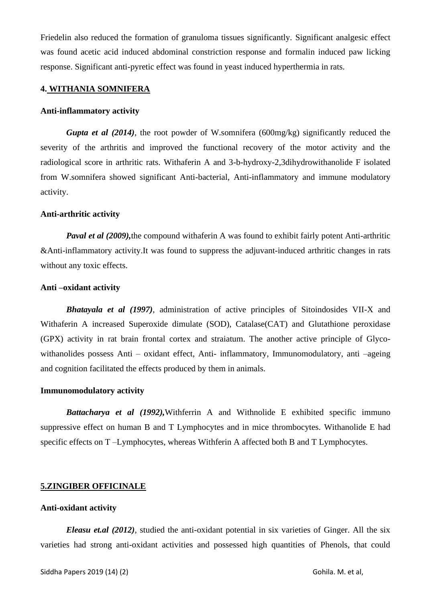Friedelin also reduced the formation of granuloma tissues significantly. Significant analgesic effect was found acetic acid induced abdominal constriction response and formalin induced paw licking response. Significant anti-pyretic effect was found in yeast induced hyperthermia in rats.

### **4. WITHANIA SOMNIFERA**

### **Anti-inflammatory activity**

*Gupta et al (2014)*, the root powder of W.somnifera (600mg/kg) significantly reduced the severity of the arthritis and improved the functional recovery of the motor activity and the radiological score in arthritic rats. Withaferin A and 3-b-hydroxy-2,3dihydrowithanolide F isolated from W.somnifera showed significant Anti-bacterial, Anti-inflammatory and immune modulatory activity.

## **Anti-arthritic activity**

*Paval et al (2009)*, the compound withaferin A was found to exhibit fairly potent Anti-arthritic &Anti-inflammatory activity.It was found to suppress the adjuvant-induced arthritic changes in rats without any toxic effects.

#### **Anti –oxidant activity**

*Bhatayala et al (1997)*, administration of active principles of Sitoindosides VII-X and Withaferin A increased Superoxide dimulate (SOD), Catalase(CAT) and Glutathione peroxidase (GPX) activity in rat brain frontal cortex and straiatum. The another active principle of Glycowithanolides possess Anti – oxidant effect, Anti- inflammatory, Immunomodulatory, anti –ageing and cognition facilitated the effects produced by them in animals.

#### **Immunomodulatory activity**

*Battacharya et al (1992),*Withferrin A and Withnolide E exhibited specific immuno suppressive effect on human B and T Lymphocytes and in mice thrombocytes. Withanolide E had specific effects on T-Lymphocytes, whereas Withferin A affected both B and T Lymphocytes.

## **5.ZINGIBER OFFICINALE**

## **Anti-oxidant activity**

*Eleasu et.al (2012)*, studied the anti-oxidant potential in six varieties of Ginger. All the six varieties had strong anti-oxidant activities and possessed high quantities of Phenols, that could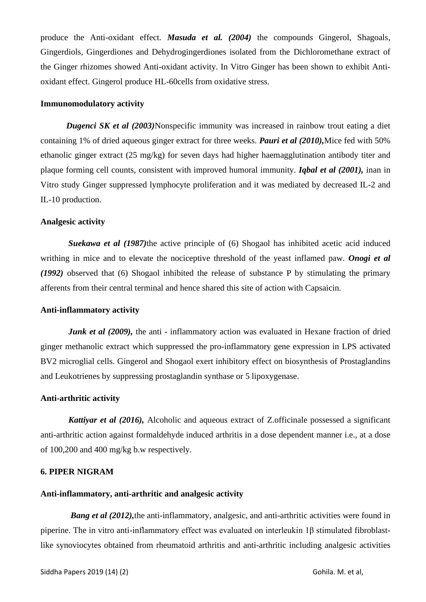produce the Anti-oxidant effect. *Masuda et al. (2004)* the compounds Gingerol, Shagoals, Gingerdiols, Gingerdiones and Dehydrogingerdiones isolated from the Dichloromethane extract of the Ginger rhizomes showed Anti-oxidant activity. In Vitro Ginger has been shown to exhibit Antioxidant effect. Gingerol produce HL-60cells from oxidative stress.

#### **Immunomodulatory activity**

*Dugenci SK et al (2003)*Nonspecific immunity was increased in rainbow trout eating a diet containing 1% of dried aqueous ginger extract for three weeks. *Pauri et al (2010),*Mice fed with 50% ethanolic ginger extract (25 mg/kg) for seven days had higher haemagglutination antibody titer and plaque forming cell counts, consistent with improved humoral immunity. *Iqbal et al (2001),* inan in Vitro study Ginger suppressed lymphocyte proliferation and it was mediated by decreased IL-2 and IL-10 production.

## **Analgesic activity**

*Suekawa et al (1987)*the active principle of (6) Shogaol has inhibited acetic acid induced writhing in mice and to elevate the nociceptive threshold of the yeast inflamed paw. *Onogi et al (1992)* observed that (6) Shogaol inhibited the release of substance P by stimulating the primary afferents from their central terminal and hence shared this site of action with Capsaicin.

## **Anti-inflammatory activity**

*Junk et al (2009)*, the anti - inflammatory action was evaluated in Hexane fraction of dried ginger methanolic extract which suppressed the pro-inflammatory gene expression in LPS activated BV2 microglial cells. Gingerol and Shogaol exert inhibitory effect on biosynthesis of Prostaglandins and Leukotrienes by suppressing prostaglandin synthase or 5 lipoxygenase.

## **Anti-arthritic activity**

 *Kattiyar et al (2016),* Alcoholic and aqueous extract of Z.officinale possessed a significant anti-arthritic action against formaldehyde induced arthritis in a dose dependent manner i.e., at a dose of 100,200 and 400 mg/kg b.w respectively.

#### **6. PIPER NIGRAM**

#### **Anti-inflammatory, anti-arthritic and analgesic activity**

*Bang et al (2012)*, the anti-inflammatory, analgesic, and anti-arthritic activities were found in piperine. The in vitro anti-inflammatory effect was evaluated on interleukin 1β stimulated fibroblastlike synoviocytes obtained from rheumatoid arthritis and anti-arthritic including analgesic activities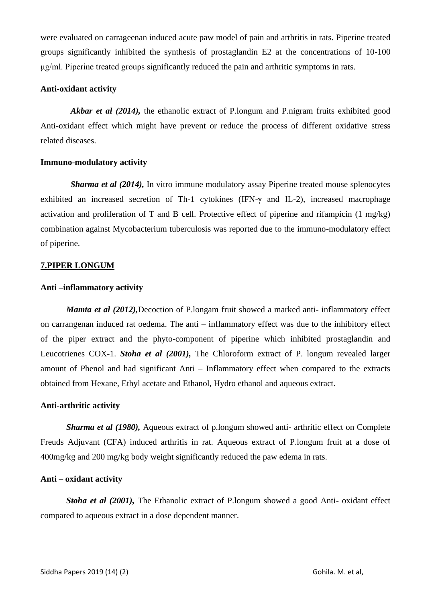were evaluated on carrageenan induced acute paw model of pain and arthritis in rats. Piperine treated groups significantly inhibited the synthesis of prostaglandin E2 at the concentrations of 10-100 μg/ml. Piperine treated groups significantly reduced the pain and arthritic symptoms in rats.

# **Anti-oxidant activity**

 *Akbar et al (2014),* the ethanolic extract of P.longum and P.nigram fruits exhibited good Anti-oxidant effect which might have prevent or reduce the process of different oxidative stress related diseases.

# **Immuno-modulatory activity**

*Sharma et al (2014)*, In vitro immune modulatory assay Piperine treated mouse splenocytes exhibited an increased secretion of Th-1 cytokines (IFN-γ and IL-2), increased macrophage activation and proliferation of T and B cell. Protective effect of piperine and rifampicin (1 mg/kg) combination against Mycobacterium tuberculosis was reported due to the immuno-modulatory effect of piperine.

# **7.PIPER LONGUM**

# **Anti –inflammatory activity**

*Mamta et al (2012),Decoction of P.longam fruit showed a marked anti- inflammatory effect* on carrangenan induced rat oedema. The anti – inflammatory effect was due to the inhibitory effect of the piper extract and the phyto-component of piperine which inhibited prostaglandin and Leucotrienes COX-1. *Stoha et al (2001),* The Chloroform extract of P. longum revealed larger amount of Phenol and had significant Anti – Inflammatory effect when compared to the extracts obtained from Hexane, Ethyl acetate and Ethanol, Hydro ethanol and aqueous extract.

## **Anti-arthritic activity**

*Sharma et al (1980),* Aqueous extract of p.longum showed anti- arthritic effect on Complete Freuds Adjuvant (CFA) induced arthritis in rat. Aqueous extract of P.longum fruit at a dose of 400mg/kg and 200 mg/kg body weight significantly reduced the paw edema in rats.

## **Anti – oxidant activity**

*Stoha et al (2001),* The Ethanolic extract of P.longum showed a good Anti- oxidant effect compared to aqueous extract in a dose dependent manner.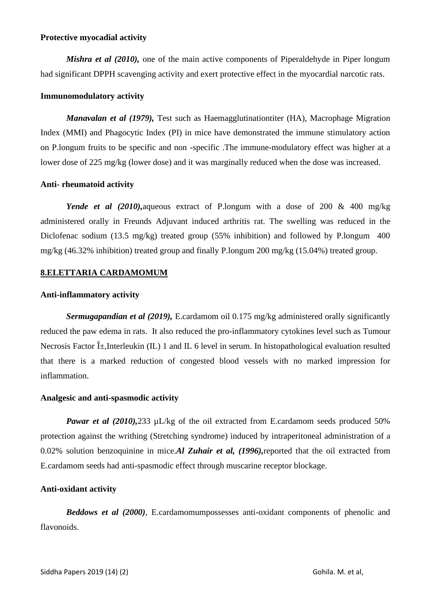## **Protective myocadial activity**

*Mishra et al (2010)*, one of the main active components of Piperaldehyde in Piper longum had significant DPPH scavenging activity and exert protective effect in the myocardial narcotic rats.

### **Immunomodulatory activity**

*Manavalan et al (1979),* Test such as Haemagglutinationtiter (HA), Macrophage Migration Index (MMI) and Phagocytic Index (PI) in mice have demonstrated the immune stimulatory action on P.longum fruits to be specific and non -specific .The immune-modulatory effect was higher at a lower dose of 225 mg/kg (lower dose) and it was marginally reduced when the dose was increased.

## **Anti- rheumatoid activity**

*Yende et al (2010),*aqueous extract of P.longum with a dose of 200 & 400 mg/kg administered orally in Freunds Adjuvant induced arthritis rat. The swelling was reduced in the Diclofenac sodium (13.5 mg/kg) treated group (55% inhibition) and followed by P.longum 400 mg/kg (46.32% inhibition) treated group and finally P.longum 200 mg/kg (15.04%) treated group.

## **8.ELETTARIA CARDAMOMUM**

#### **Anti-inflammatory activity**

*Sermugapandian et al (2019),* E.cardamom oil 0.175 mg/kg administered orally significantly reduced the paw edema in rats. It also reduced the pro-inflammatory cytokines level such as Tumour Necrosis Factor  $\hat{I}$ ,Interleukin (IL) 1 and IL 6 level in serum. In histopathological evaluation resulted that there is a marked reduction of congested blood vessels with no marked impression for inflammation.

#### **Analgesic and anti-spasmodic activity**

*Pawar et al (2010),*233  $\mu$ L/kg of the oil extracted from E.cardamom seeds produced 50% protection against the writhing (Stretching syndrome) induced by intraperitoneal administration of a 0.02% solution benzoquinine in mice.*Al Zuhair et al, (1996),*reported that the oil extracted from E.cardamom seeds had anti-spasmodic effect through muscarine receptor blockage.

#### **Anti-oxidant activity**

*Beddows et al (2000)*, E.cardamomumpossesses anti-oxidant components of phenolic and flavonoids.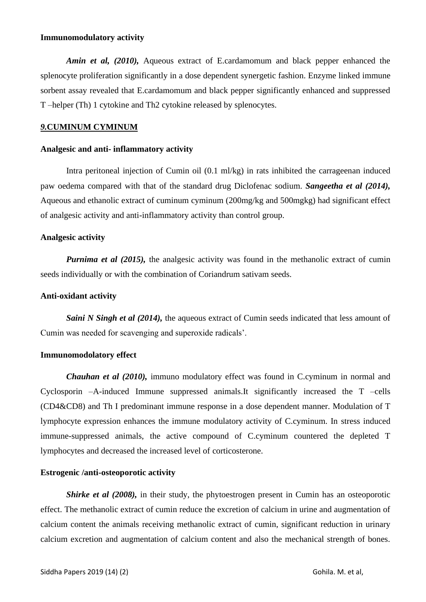## **Immunomodulatory activity**

*Amin et al, (2010),* Aqueous extract of E.cardamomum and black pepper enhanced the splenocyte proliferation significantly in a dose dependent synergetic fashion. Enzyme linked immune sorbent assay revealed that E.cardamomum and black pepper significantly enhanced and suppressed T –helper (Th) 1 cytokine and Th2 cytokine released by splenocytes.

#### *9.***CUMINUM CYMINUM**

#### **Analgesic and anti- inflammatory activity**

Intra peritoneal injection of Cumin oil (0.1 ml/kg) in rats inhibited the carrageenan induced paw oedema compared with that of the standard drug Diclofenac sodium. *Sangeetha et al (2014),* Aqueous and ethanolic extract of cuminum cyminum (200mg/kg and 500mgkg) had significant effect of analgesic activity and anti-inflammatory activity than control group.

#### **Analgesic activity**

*Purnima et al (2015)*, the analgesic activity was found in the methanolic extract of cumin seeds individually or with the combination of Coriandrum sativam seeds.

#### **Anti-oxidant activity**

*Saini N Singh et al (2014)*, the aqueous extract of Cumin seeds indicated that less amount of Cumin was needed for scavenging and superoxide radicals'.

#### **Immunomodolatory effect**

*Chauhan et al (2010),* immuno modulatory effect was found in C.cyminum in normal and Cyclosporin –A-induced Immune suppressed animals.It significantly increased the T –cells (CD4&CD8) and Th I predominant immune response in a dose dependent manner. Modulation of T lymphocyte expression enhances the immune modulatory activity of C.cyminum. In stress induced immune-suppressed animals, the active compound of C.cyminum countered the depleted T lymphocytes and decreased the increased level of corticosterone.

#### **Estrogenic /anti-osteoporotic activity**

*Shirke et al (2008)*, in their study, the phytoestrogen present in Cumin has an osteoporotic effect. The methanolic extract of cumin reduce the excretion of calcium in urine and augmentation of calcium content the animals receiving methanolic extract of cumin, significant reduction in urinary calcium excretion and augmentation of calcium content and also the mechanical strength of bones.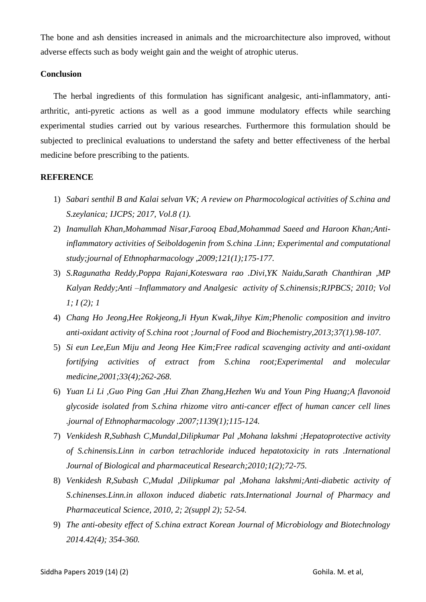The bone and ash densities increased in animals and the microarchitecture also improved, without adverse effects such as body weight gain and the weight of atrophic uterus.

# **Conclusion**

The herbal ingredients of this formulation has significant analgesic, anti-inflammatory, antiarthritic, anti-pyretic actions as well as a good immune modulatory effects while searching experimental studies carried out by various researches. Furthermore this formulation should be subjected to preclinical evaluations to understand the safety and better effectiveness of the herbal medicine before prescribing to the patients.

## **REFERENCE**

- 1) *Sabari senthil B and Kalai selvan VK; A review on Pharmocological activities of S.china and S.zeylanica; IJCPS; 2017, Vol.8 (1).*
- 2) *Inamullah Khan,Mohammad Nisar,Farooq Ebad,Mohammad Saeed and Haroon Khan;Antiinflammatory activities of Seiboldogenin from S.china .Linn; Experimental and computational study;journal of Ethnopharmacology ,2009;121(1);175-177.*
- 3) *S.Ragunatha Reddy,Poppa Rajani,Koteswara rao .Divi,YK Naidu,Sarath Chanthiran ,MP Kalyan Reddy;Anti –Inflammatory and Analgesic activity of S.chinensis;RJPBCS; 2010; Vol 1; I (2); 1*
- 4) *Chang Ho Jeong,Hee Rokjeong,Ji Hyun Kwak,Jihye Kim;Phenolic composition and invitro anti-oxidant activity of S.china root ;Journal of Food and Biochemistry,2013;37(1).98-107.*
- 5) *Si eun Lee,Eun Miju and Jeong Hee Kim;Free radical scavenging activity and anti-oxidant fortifying activities of extract from S.china root;Experimental and molecular medicine,2001;33(4);262-268.*
- 6) *Yuan Li Li ,Guo Ping Gan ,Hui Zhan Zhang,Hezhen Wu and Youn Ping Huang;A flavonoid glycoside isolated from S.china rhizome vitro anti-cancer effect of human cancer cell lines .journal of Ethnopharmacology .2007;1139(1);115-124.*
- 7) *Venkidesh R,Subhash C,Mundal,Dilipkumar Pal ,Mohana lakshmi ;Hepatoprotective activity of S.chinensis.Linn in carbon tetrachloride induced hepatotoxicity in rats .International Journal of Biological and pharmaceutical Research;2010;1(2);72-75.*
- 8) *Venkidesh R,Subash C,Mudal ,Dilipkumar pal ,Mohana lakshmi;Anti-diabetic activity of S.chinenses.Linn.in alloxon induced diabetic rats.International Journal of Pharmacy and Pharmaceutical Science, 2010, 2; 2(suppl 2); 52-54.*
- 9) *The anti-obesity effect of S.china extract Korean Journal of Microbiology and Biotechnology 2014.42(4); 354-360.*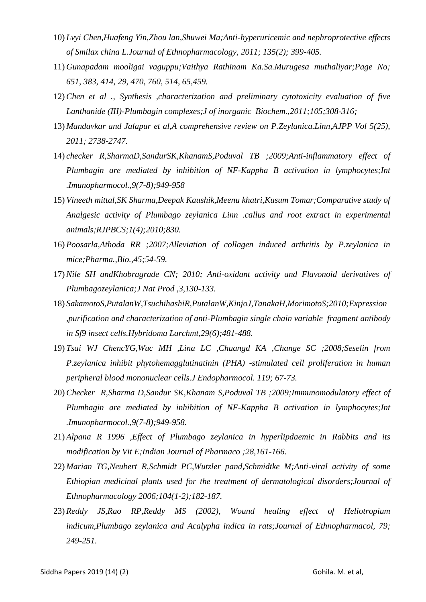- 10) *Lvyi Chen,Huafeng Yin,Zhou lan,Shuwei Ma;Anti-hyperuricemic and nephroprotective effects of Smilax china L.Journal of Ethnopharmacology, 2011; 135(2); 399-405.*
- 11) *Gunapadam mooligai vaguppu;Vaithya Rathinam Ka.Sa.Murugesa muthaliyar;Page No; 651, 383, 414, 29, 470, 760, 514, 65,459.*
- 12) *Chen et al ., Synthesis ,characterization and preliminary cytotoxicity evaluation of five Lanthanide (III)-Plumbagin complexes;J of inorganic Biochem.,2011;105;308-316;*
- 13) *Mandavkar and Jalapur et al,A comprehensive review on P.Zeylanica.Linn,AJPP Vol 5(25), 2011; 2738-2747.*
- 14) *checker R,SharmaD,SandurSK,KhanamS,Poduval TB ;2009;Anti-inflammatory effect of Plumbagin are mediated by inhibition of NF-Kappha B activation in lymphocytes;Int .Imunopharmocol.,9(7-8);949-958*
- 15) *Vineeth mittal,SK Sharma,Deepak Kaushik,Meenu khatri,Kusum Tomar;Comparative study of Analgesic activity of Plumbago zeylanica Linn .callus and root extract in experimental animals;RJPBCS;1(4);2010;830.*
- 16) *Poosarla,Athoda RR ;2007;Alleviation of collagen induced arthritis by P.zeylanica in mice;Pharma.,Bio.,45;54-59.*
- 17) *Nile SH andKhobragrade CN; 2010; Anti-oxidant activity and Flavonoid derivatives of Plumbagozeylanica;J Nat Prod ,3,130-133.*
- 18) *SakamotoS,PutalanW,TsuchihashiR,PutalanW,KinjoJ,TanakaH,MorimotoS;2010;Expression ,purification and characterization of anti-Plumbagin single chain variable fragment antibody in Sf9 insect cells.Hybridoma Larchmt,29(6);481-488.*
- 19) *Tsai WJ ChencYG,Wuc MH ,Lina LC ,Chuangd KA ,Change SC ;2008;Seselin from P.zeylanica inhibit phytohemagglutinatinin (PHA) -stimulated cell proliferation in human peripheral blood mononuclear cells.J Endopharmocol. 119; 67-73.*
- 20) *Checker R,Sharma D,Sandur SK,Khanam S,Poduval TB ;2009;Immunomodulatory effect of Plumbagin are mediated by inhibition of NF-Kappha B activation in lymphocytes;Int .Imunopharmocol.,9(7-8);949-958.*
- 21) *Alpana R 1996 ,Effect of Plumbago zeylanica in hyperlipdaemic in Rabbits and its modification by Vit E;Indian Journal of Pharmaco ;28,161-166.*
- 22) *Marian TG,Neubert R,Schmidt PC,Wutzler pand,Schmidtke M;Anti-viral activity of some Ethiopian medicinal plants used for the treatment of dermatological disorders;Journal of Ethnopharmacology 2006;104(1-2);182-187.*
- 23) *Reddy JS,Rao RP,Reddy MS (2002), Wound healing effect of Heliotropium indicum,Plumbago zeylanica and Acalypha indica in rats;Journal of Ethnopharmacol, 79; 249-251.*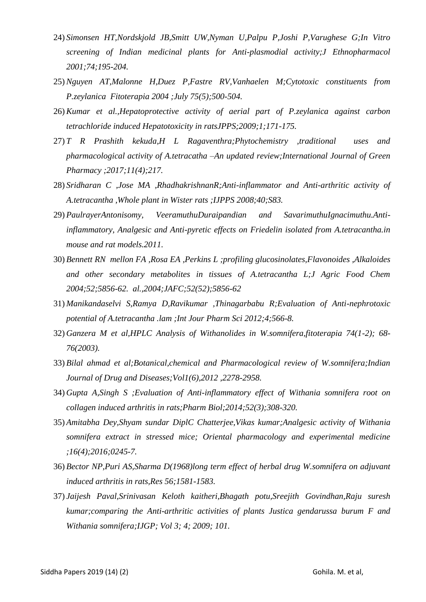- 24) *Simonsen HT,Nordskjold JB,Smitt UW,Nyman U,Palpu P,Joshi P,Varughese G;In Vitro screening of Indian medicinal plants for Anti-plasmodial activity;J Ethnopharmacol 2001;74;195-204.*
- 25) *Nguyen AT,Malonne H,Duez P,Fastre RV,Vanhaelen M;Cytotoxic constituents from P.zeylanica Fitoterapia 2004 ;July 75(5);500-504.*
- 26) *Kumar et al.,Hepatoprotective activity of aerial part of P.zeylanica against carbon tetrachloride induced Hepatotoxicity in ratsJPPS;2009;1;171-175.*
- 27) *T R Prashith kekuda,H L Ragaventhra;Phytochemistry ,traditional uses and pharmacological activity of A.tetracatha –An updated review;International Journal of Green Pharmacy ;2017;11(4);217.*
- 28) *Sridharan C ,Jose MA ,RhadhakrishnanR;Anti-inflammator and Anti-arthritic activity of A.tetracantha ,Whole plant in Wister rats ;IJPPS 2008;40;S83.*
- 29) *PaulrayerAntonisomy, VeeramuthuDuraipandian and SavarimuthuIgnacimuthu.Antiinflammatory, Analgesic and Anti-pyretic effects on Friedelin isolated from A.tetracantha.in mouse and rat models.2011.*
- 30) *Bennett RN mellon FA ,Rosa EA ,Perkins L ;profiling glucosinolates,Flavonoides ,Alkaloides and other secondary metabolites in tissues of A.tetracantha L;J Agric Food Chem 2004;52;5856-62. al.,2004;JAFC;52(52);5856-62*
- 31) *Manikandaselvi S,Ramya D,Ravikumar ,Thinagarbabu R;Evaluation of Anti-nephrotoxic potential of A.tetracantha .lam ;Int Jour Pharm Sci 2012;4;566-8.*
- 32) *Ganzera M et al,HPLC Analysis of Withanolides in W.somnifera,fitoterapia 74(1-2); 68- 76(2003).*
- 33) *Bilal ahmad et al;Botanical,chemical and Pharmacological review of W.somnifera;Indian Journal of Drug and Diseases;Vol1(6),2012 ,2278-2958.*
- 34) *Gupta A,Singh S ;Evaluation of Anti-inflammatory effect of Withania somnifera root on collagen induced arthritis in rats;Pharm Biol;2014;52(3);308-320.*
- 35) *Amitabha Dey,Shyam sundar DiplC Chatterjee,Vikas kumar;Analgesic activity of Withania somnifera extract in stressed mice; Oriental pharmacology and experimental medicine ;16(4);2016;0245-7.*
- 36) *Bector NP,Puri AS,Sharma D(1968)long term effect of herbal drug W.somnifera on adjuvant induced arthritis in rats,Res 56;1581-1583.*
- 37) *Jaijesh Paval,Srinivasan Keloth kaitheri,Bhagath potu,Sreejith Govindhan,Raju suresh kumar;comparing the Anti-arthritic activities of plants Justica gendarussa burum F and Withania somnifera;IJGP; Vol 3; 4; 2009; 101.*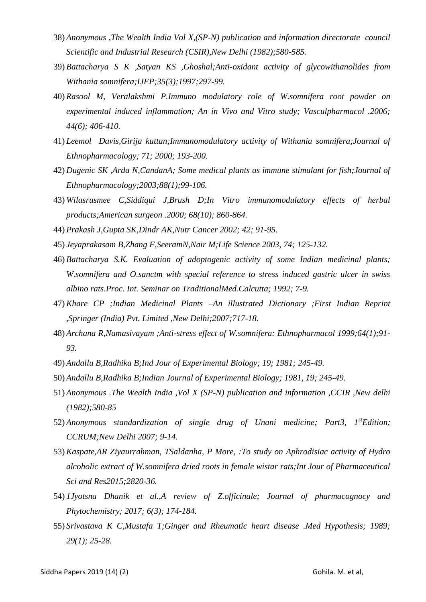- 38) *Anonymous ,The Wealth India Vol X,(SP-N) publication and information directorate council Scientific and Industrial Research (CSIR),New Delhi (1982);580-585.*
- 39) *Battacharya S K ,Satyan KS ,Ghoshal;Anti-oxidant activity of glycowithanolides from Withania somnifera;IJEP;35(3);1997;297-99.*
- 40) *Rasool M, Veralakshmi P.Immuno modulatory role of W.somnifera root powder on experimental induced inflammation; An in Vivo and Vitro study; Vasculpharmacol .2006; 44(6); 406-410.*
- 41) *Leemol Davis,Girija kuttan;Immunomodulatory activity of Withania somnifera;Journal of Ethnopharmacology; 71; 2000; 193-200.*
- 42) *Dugenic SK ,Arda N,CandanA; Some medical plants as immune stimulant for fish;Journal of Ethnopharmacology;2003;88(1);99-106.*
- 43) *Wilasrusmee C,Siddiqui J,Brush D;In Vitro immunomodulatory effects of herbal products;American surgeon .2000; 68(10); 860-864.*
- 44) *Prakash J,Gupta SK,Dindr AK,Nutr Cancer 2002; 42; 91-95.*
- 45) *Jeyaprakasam B,Zhang F,SeeramN,Nair M;Life Science 2003, 74; 125-132.*
- 46) *Battacharya S.K. Evaluation of adoptogenic activity of some Indian medicinal plants; W.somnifera and O.sanctm with special reference to stress induced gastric ulcer in swiss albino rats.Proc. Int. Seminar on TraditionalMed.Calcutta; 1992; 7-9.*
- 47) *Khare CP ;Indian Medicinal Plants –An illustrated Dictionary ;First Indian Reprint ,Springer (India) Pvt. Limited ,New Delhi;2007;717-18.*
- 48) *Archana R,Namasivayam ;Anti-stress effect of W.somnifera: Ethnopharmacol 1999;64(1);91- 93.*
- 49) *Andallu B,Radhika B;Ind Jour of Experimental Biology; 19; 1981; 245-49.*
- 50) *Andallu B,Radhika B;Indian Journal of Experimental Biology; 1981, 19; 245-49.*
- 51) *Anonymous .The Wealth India ,Vol X (SP-N) publication and information ,CCIR ,New delhi (1982);580-85*
- 52) *Anonymous standardization of single drug of Unani medicine; Part3, 1stEdition; CCRUM;New Delhi 2007; 9-14.*
- 53) *Kaspate,AR Ziyaurrahman, TSaldanha, P More, :To study on Aphrodisiac activity of Hydro alcoholic extract of W.somnifera dried roots in female wistar rats;Int Jour of Pharmaceutical Sci and Res2015;2820-36.*
- 54) *1Jyotsna Dhanik et al.,A review of Z.officinale; Journal of pharmacognocy and Phytochemistry; 2017; 6(3); 174-184.*
- 55) *Srivastava K C,Mustafa T;Ginger and Rheumatic heart disease .Med Hypothesis; 1989; 29(1); 25-28.*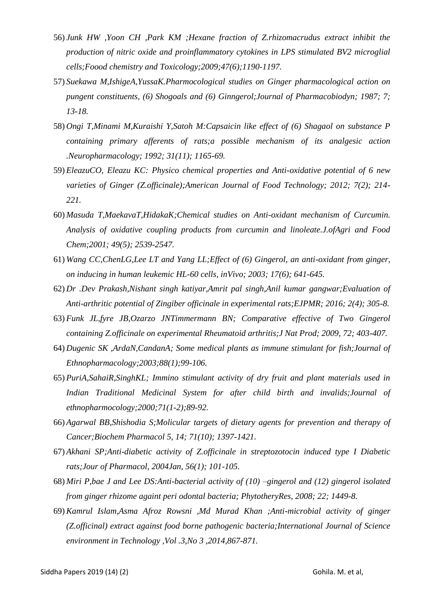- 56) *Junk HW ,Yoon CH ,Park KM ;Hexane fraction of Z.rhizomacrudus extract inhibit the production of nitric oxide and proinflammatory cytokines in LPS stimulated BV2 microglial cells;Foood chemistry and Toxicology;2009;47(6);1190-1197.*
- 57) *Suekawa M,IshigeA,YussaK.Pharmocological studies on Ginger pharmacological action on pungent constituents, (6) Shogoals and (6) Ginngerol;Journal of Pharmacobiodyn; 1987; 7; 13-18.*
- 58) *Ongi T,Minami M,Kuraishi Y,Satoh M:Capsaicin like effect of (6) Shagaol on substance P containing primary afferents of rats;a possible mechanism of its analgesic action .Neuropharmacology; 1992; 31(11); 1165-69.*
- 59) *EleazuCO, Eleazu KC: Physico chemical properties and Anti-oxidative potential of 6 new varieties of Ginger (Z.officinale);American Journal of Food Technology; 2012; 7(2); 214- 221.*
- 60) *Masuda T,MaekavaT,HidakaK;Chemical studies on Anti-oxidant mechanism of Curcumin. Analysis of oxidative coupling products from curcumin and linoleate.J.ofAgri and Food Chem;2001; 49(5); 2539-2547.*
- 61) *Wang CC,ChenLG,Lee LT and Yang LL;Effect of (6) Gingerol, an anti-oxidant from ginger, on inducing in human leukemic HL-60 cells, inVivo; 2003; 17(6); 641-645.*
- 62) *Dr .Dev Prakash,Nishant singh katiyar,Amrit pal singh,Anil kumar gangwar;Evaluation of Anti-arthritic potential of Zingiber officinale in experimental rats;EJPMR; 2016; 2(4); 305-8.*
- 63) *Funk JL,fyre JB,Ozarzo JNTimmermann BN; Comparative effective of Two Gingerol containing Z.officinale on experimental Rheumatoid arthritis;J Nat Prod; 2009, 72; 403-407.*
- 64) *Dugenic SK ,ArdaN,CandanA; Some medical plants as immune stimulant for fish;Journal of Ethnopharmacology;2003;88(1);99-106.*
- 65) *PuriA,SahaiR,SinghKL; Immino stimulant activity of dry fruit and plant materials used in Indian Traditional Medicinal System for after child birth and invalids;Journal of ethnopharmocology;2000;71(1-2);89-92.*
- 66) *Agarwal BB,Shishodia S;Molicular targets of dietary agents for prevention and therapy of Cancer;Biochem Pharmacol 5, 14; 71(10); 1397-1421.*
- 67) *Akhani SP;Anti-diabetic activity of Z.officinale in streptozotocin induced type I Diabetic rats;Jour of Pharmacol, 2004Jan, 56(1); 101-105.*
- 68) *Miri P,bae J and Lee DS:Anti-bacterial activity of (10) –gingerol and (12) gingerol isolated from ginger rhizome againt peri odontal bacteria; PhytotheryRes, 2008; 22; 1449-8.*
- 69) *Kamrul Islam,Asma Afroz Rowsni ,Md Murad Khan ;Anti-microbial activity of ginger (Z.officinal) extract against food borne pathogenic bacteria;International Journal of Science environment in Technology ,Vol .3,No 3 ,2014,867-871.*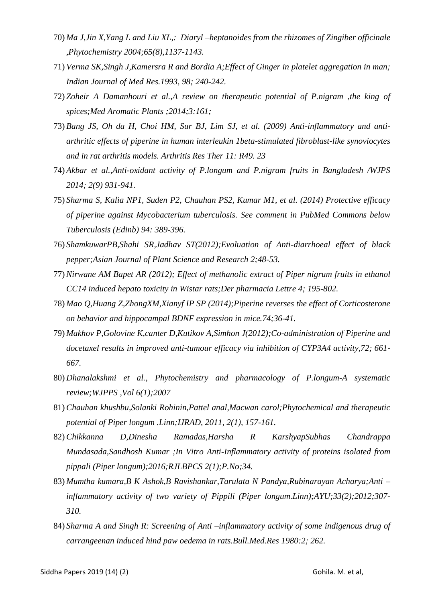- 70) *Ma J,Jin X,Yang L and Liu XL,: Diaryl –heptanoides from the rhizomes of Zingiber officinale ,Phytochemistry 2004;65(8),1137-1143.*
- 71) *Verma SK,Singh J,Kamersra R and Bordia A;Effect of Ginger in platelet aggregation in man; Indian Journal of Med Res.1993, 98; 240-242.*
- 72) *Zoheir A Damanhouri et al.,A review on therapeutic potential of P.nigram ,the king of spices;Med Aromatic Plants ;2014;3:161;*
- 73) *Bang JS, Oh da H, Choi HM, Sur BJ, Lim SJ, et al. (2009) Anti-inflammatory and antiarthritic effects of piperine in human interleukin 1beta-stimulated fibroblast-like synoviocytes and in rat arthritis models. Arthritis Res Ther 11: R49. 23*
- 74) *Akbar et al.,Anti-oxidant activity of P.longum and P.nigram fruits in Bangladesh /WJPS 2014; 2(9) 931-941.*
- 75) *Sharma S, Kalia NP1, Suden P2, Chauhan PS2, Kumar M1, et al. (2014) Protective efficacy of piperine against Mycobacterium tuberculosis. See comment in PubMed Commons below Tuberculosis (Edinb) 94: 389-396.*
- 76) *ShamkuwarPB,Shahi SR,Jadhav ST(2012);Evoluation of Anti-diarrhoeal effect of black pepper;Asian Journal of Plant Science and Research 2;48-53.*
- 77) *Nirwane AM Bapet AR (2012); Effect of methanolic extract of Piper nigrum fruits in ethanol CC14 induced hepato toxicity in Wistar rats;Der pharmacia Lettre 4; 195-802.*
- 78) *Mao Q,Huang Z,ZhongXM,Xianyf IP SP (2014);Piperine reverses the effect of Corticosterone on behavior and hippocampal BDNF expression in mice.74;36-41.*
- 79) *Makhov P,Golovine K,canter D,Kutikov A,Simhon J(2012);Co-administration of Piperine and docetaxel results in improved anti-tumour efficacy via inhibition of CYP3A4 activity,72; 661- 667.*
- 80) *Dhanalakshmi et al., Phytochemistry and pharmacology of P.longum-A systematic review;WJPPS ,Vol 6(1);2007*
- 81) *Chauhan khushbu,Solanki Rohinin,Pattel anal,Macwan carol;Phytochemical and therapeutic potential of Piper longum .Linn;IJRAD, 2011, 2(1), 157-161.*
- 82) *Chikkanna D,Dinesha Ramadas,Harsha R KarshyapSubhas Chandrappa Mundasada,Sandhosh Kumar ;In Vitro Anti-Inflammatory activity of proteins isolated from pippali (Piper longum);2016;RJLBPCS 2(1);P.No;34.*
- 83) *Mumtha kumara,B K Ashok,B Ravishankar,Tarulata N Pandya,Rubinarayan Acharya;Anti – inflammatory activity of two variety of Pippili (Piper longum.Linn);AYU;33(2);2012;307- 310.*
- 84) *Sharma A and Singh R: Screening of Anti –inflammatory activity of some indigenous drug of carrangeenan induced hind paw oedema in rats.Bull.Med.Res 1980:2; 262.*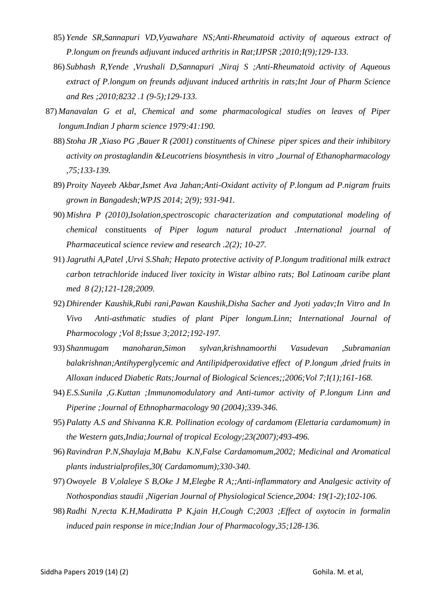- 85) *Yende SR,Sannapuri VD,Vyawahare NS;Anti-Rheumatoid activity of aqueous extract of P.longum on freunds adjuvant induced arthritis in Rat;IJPSR ;2010;I(9);129-133.*
- 86) *Subhash R,Yende ,Vrushali D,Sannapuri ,Niraj S ;Anti-Rheumatoid activity of Aqueous extract of P.longum on freunds adjuvant induced arthritis in rats;Int Jour of Pharm Science and Res ;2010;8232 .1 (9-5);129-133.*
- 87) *Manavalan G et al, Chemical and some pharmacological studies on leaves of Piper longum.Indian J pharm science 1979:41:190.*
	- 88) *Stoha JR ,Xiaso PG ,Bauer R (2001) constituents of Chinese piper spices and their inhibitory activity on prostaglandin &Leucotriens biosynthesis in vitro ,Journal of Ethanopharmacology ,75;133-139.*
	- 89) *Proity Nayeeb Akbar,Ismet Ava Jahan;Anti-Oxidant activity of P.longum ad P.nigram fruits grown in Bangadesh;WPJS 2014; 2(9); 931-941.*
	- 90) *Mishra P (2010),Isolation,spectroscopic characterization and computational modeling of chemical* constituents *of Piper logum natural product .International journal of Pharmaceutical science review and research .2(2); 10-27.*
	- 91) *Jagruthi A,Patel ,Urvi S.Shah; Hepato protective activity of P.longum traditional milk extract carbon tetrachloride induced liver toxicity in Wistar albino rats; Bol Latinoam caribe plant med 8 (2);121-128;2009.*
	- 92) *Dhirender Kaushik,Rubi rani,Pawan Kaushik,Disha Sacher and Jyoti yadav;In Vitro and In Vivo Anti-asthmatic studies of plant Piper longum.Linn; International Journal of Pharmocology ;Vol 8;Issue 3;2012;192-197.*
	- 93) *Shanmugam manoharan,Simon sylvan,krishnamoorthi Vasudevan ,Subramanian balakrishnan;Antihyperglycemic and Antilipidperoxidative effect of P.longum ,dried fruits in Alloxan induced Diabetic Rats;Journal of Biological Sciences;;2006;Vol 7;I(1);161-168.*
	- 94) *E.S.Sunila ,G.Kuttan ;Immunomodulatory and Anti-tumor activity of P.longum Linn and Piperine ;Journal of Ethnopharmacology 90 (2004);339-346.*
	- 95) *Palatty A.S and Shivanna K.R. Pollination ecology of cardamom (Elettaria cardamomum) in the Western gats,India;Journal of tropical Ecology;23(2007);493-496.*
	- 96) *Ravindran P.N,Shaylaja M,Babu K.N,False Cardamomum,2002; Medicinal and Aromatical plants industrialprofiles,30( Cardamomum);330-340.*
	- 97) *Owoyele B V,olaleye S B,Oke J M,Elegbe R A;;Anti-inflammatory and Analgesic activity of Nothospondias staudii ,Nigerian Journal of Physiological Science,2004: 19(1-2);102-106.*
	- 98) *Radhi N,recta K.H,Madiratta P K,jain H,Cough C;2003 ;Effect of oxytocin in formalin induced pain response in mice;Indian Jour of Pharmacology,35;128-136.*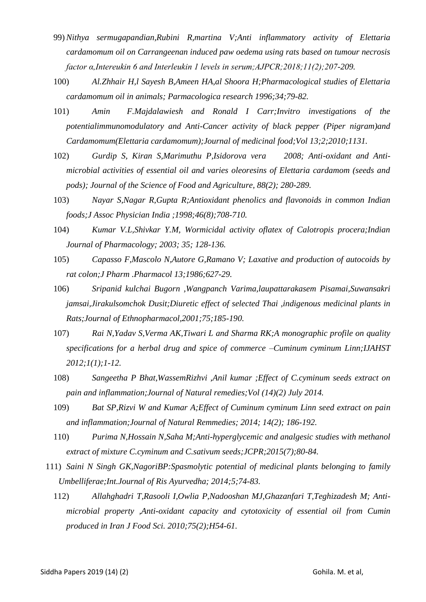- 99) *Nithya sermugapandian,Rubini R,martina V;Anti inflammatory activity of Elettaria cardamomum oil on Carrangeenan induced paw oedema using rats based on tumour necrosis factor α,Intereukin 6 and Interleukin 1 levels in serum;AJPCR;2018;11(2);207-209.*
- 100) *Al.Zhhair H,l Sayesh B,Ameen HA,al Shoora H;Pharmacological studies of Elettaria cardamomum oil in animals; Parmacologica research 1996;34;79-82.*
- 101) *Amin F.Majdalawiesh and Ronald I Carr;Invitro investigations of the potentialimmunomodulatory and Anti-Cancer activity of black pepper (Piper nigram)and Cardamomum(Elettaria cardamomum);Journal of medicinal food;Vol 13;2;2010;1131.*
- 102) *Gurdip S, Kiran S,Marimuthu P,Isidorova vera 2008; Anti-oxidant and Antimicrobial activities of essential oil and varies oleoresins of Elettaria cardamom (seeds and pods); Journal of the Science of Food and Agriculture, 88(2); 280-289.*
- 103) *Nayar S,Nagar R,Gupta R;Antioxidant phenolics and flavonoids in common Indian foods;J Assoc Physician India ;1998;46(8);708-710.*
- 104) *Kumar V.L,Shivkar Y.M, Wormicidal activity oflatex of Calotropis procera;Indian Journal of Pharmacology; 2003; 35; 128-136.*
- 105) *Capasso F,Mascolo N,Autore G,Ramano V; Laxative and production of autocoids by rat colon;J Pharm .Pharmacol 13;1986;627-29.*
- 106) *Sripanid kulchai Bugorn ,Wangpanch Varima,laupattarakasem Pisamai,Suwansakri jamsai,Jirakulsomchok Dusit;Diuretic effect of selected Thai ,indigenous medicinal plants in Rats;Journal of Ethnopharmacol,2001;75;185-190.*
- 107) *Rai N,Yadav S,Verma AK,Tiwari L and Sharma RK;A monographic profile on quality specifications for a herbal drug and spice of commerce –Cuminum cyminum Linn;IJAHST 2012;1(1);1-12.*
- 108) *Sangeetha P Bhat,WassemRizhvi ,Anil kumar ;Effect of C.cyminum seeds extract on pain and inflammation;Journal of Natural remedies;Vol (14)(2) July 2014.*
- 109) *Bat SP,Rizvi W and Kumar A;Effect of Cuminum cyminum Linn seed extract on pain and inflammation;Journal of Natural Remmedies; 2014; 14(2); 186-192.*
- 110) *Purima N,Hossain N,Saha M;Anti-hyperglycemic and analgesic studies with methanol extract of mixture C.cyminum and C.sativum seeds;JCPR;2015(7);80-84.*
- 111) *Saini N Singh GK,NagoriBP:Spasmolytic potential of medicinal plants belonging to family Umbelliferae;Int.Journal of Ris Ayurvedha; 2014;5;74-83.*
	- 112) *Allahghadri T,Rasooli I,Owlia P,Nadooshan MJ,Ghazanfari T,Teghizadesh M; Antimicrobial property ,Anti-oxidant capacity and cytotoxicity of essential oil from Cumin produced in Iran J Food Sci. 2010;75(2);H54-61.*